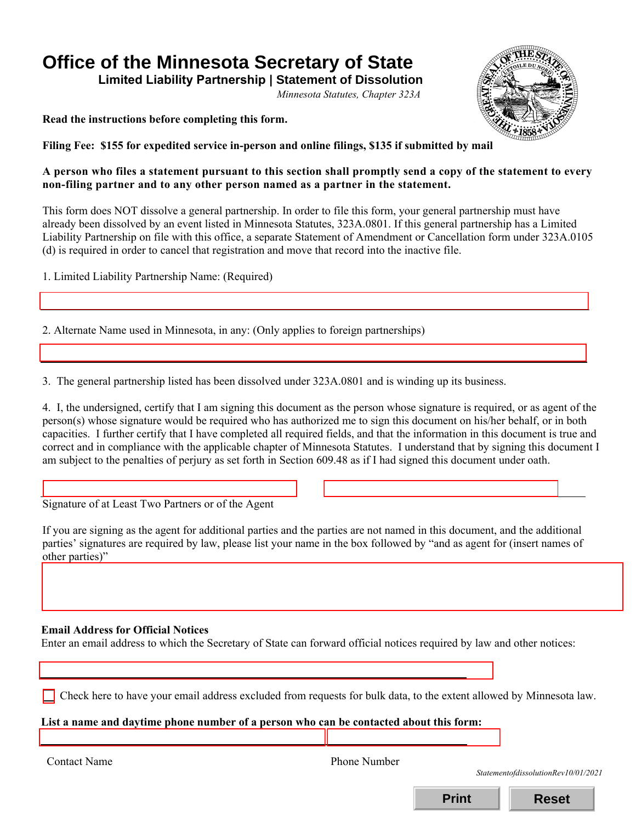# **Office of the Minnesota Secretary of State**

 **Limited Liability Partnership | Statement of Dissolution** 

*Minnesota Statutes, Chapter 323A* 

**Read the instructions before completing this form.** 



**Filing Fee: \$155 for expedited service in-person and online filings, \$135 if submitted by mail** 

## **A person who files a statement pursuant to this section shall promptly send a copy of the statement to every non-filing partner and to any other person named as a partner in the statement.**

 already been dissolved by an event listed in Minnesota Statutes, 323A.0801. If this general partnership has a Limited This form does NOT dissolve a general partnership. In order to file this form, your general partnership must have Liability Partnership on file with this office, a separate Statement of Amendment or Cancellation form under 323A.0105 (d) is required in order to cancel that registration and move that record into the inactive file.

1. Limited Liability Partnership Name: (Required)

2. Alternate Name used in Minnesota, in any: (Only applies to foreign partnerships)

3. The general partnership listed has been dissolved under 323A.0801 and is winding up its business.

4. I, the undersigned, certify that I am signing this document as the person whose signature is required, or as agent of the person(s) whose signature would be required who has authorized me to sign this document on his/her behalf, or in both capacities. I further certify that I have completed all required fields, and that the information in this document is true and correct and in compliance with the applicable chapter of Minnesota Statutes. I understand that by signing this document I am subject to the penalties of perjury as set forth in Section 609.48 as if I had signed this document under oath.

Signature of at Least Two Partners or of the Agent

If you are signing as the agent for additional parties and the parties are not named in this document, and the additional parties' signatures are required by law, please list your name in the box followed by "and as agent for (insert names of other parties)"

# **Email Address for Official Notices**

Enter an email address to which the Secretary of State can forward official notices required by law and other notices:

Check here to have your email address excluded from requests for bulk data, to the extent allowed by Minnesota law.

**List a name and daytime phone number of a person who can be contacted about this form:** 

I

I

Contact Name Phone Number

*StatementofdissolutionRev10/01/2021*